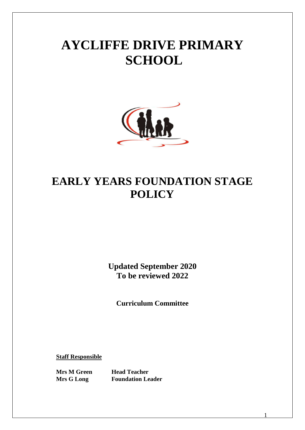# **AYCLIFFE DRIVE PRIMARY SCHOOL**



# **EARLY YEARS FOUNDATION STAGE POLICY**

**Updated September 2020 To be reviewed 2022**

**Curriculum Committee**

1

**Staff Responsible**

**Mrs M Green Head Teacher Mrs G Long Foundation Leader**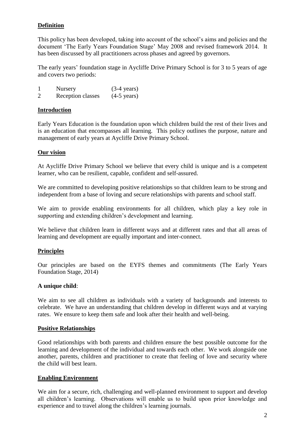# **Definition**

This policy has been developed, taking into account of the school's aims and policies and the document 'The Early Years Foundation Stage' May 2008 and revised framework 2014. It has been discussed by all practitioners across phases and agreed by governors.

The early years' foundation stage in Aycliffe Drive Primary School is for 3 to 5 years of age and covers two periods:

1 Nursery (3-4 years) 2 Reception classes (4-5 years)

# **Introduction**

Early Years Education is the foundation upon which children build the rest of their lives and is an education that encompasses all learning. This policy outlines the purpose, nature and management of early years at Aycliffe Drive Primary School.

#### **Our vision**

At Aycliffe Drive Primary School we believe that every child is unique and is a competent learner, who can be resilient, capable, confident and self-assured.

We are committed to developing positive relationships so that children learn to be strong and independent from a base of loving and secure relationships with parents and school staff.

We aim to provide enabling environments for all children, which play a key role in supporting and extending children's development and learning.

We believe that children learn in different ways and at different rates and that all areas of learning and development are equally important and inter-connect.

# **Principles**

Our principles are based on the EYFS themes and commitments (The Early Years Foundation Stage, 2014)

#### **A unique child**:

We aim to see all children as individuals with a variety of backgrounds and interests to celebrate. We have an understanding that children develop in different ways and at varying rates. We ensure to keep them safe and look after their health and well-being.

#### **Positive Relationships**

Good relationships with both parents and children ensure the best possible outcome for the learning and development of the individual and towards each other. We work alongside one another, parents, children and practitioner to create that feeling of love and security where the child will best learn.

#### **Enabling Environment**

We aim for a secure, rich, challenging and well-planned environment to support and develop all children's learning. Observations will enable us to build upon prior knowledge and experience and to travel along the children's learning journals.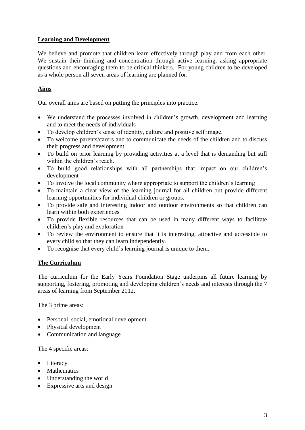# **Learning and Development**

We believe and promote that children learn effectively through play and from each other. We sustain their thinking and concentration through active learning, asking appropriate questions and encouraging them to be critical thinkers. For young children to be developed as a whole person all seven areas of learning are planned for.

# **Aims**

Our overall aims are based on putting the principles into practice.

- We understand the processes involved in children's growth, development and learning and to meet the needs of individuals
- To develop children's sense of identity, culture and positive self image.
- To welcome parents/carers and to communicate the needs of the children and to discuss their progress and development
- To build on prior learning by providing activities at a level that is demanding but still within the children's reach.
- To build good relationships with all partnerships that impact on our children's development
- To involve the local community where appropriate to support the children's learning
- To maintain a clear view of the learning journal for all children but provide different learning opportunities for individual children or groups.
- To provide safe and interesting indoor and outdoor environments so that children can learn within both experiences
- To provide flexible resources that can be used in many different ways to facilitate children's play and exploration
- To review the environment to ensure that it is interesting, attractive and accessible to every child so that they can learn independently.
- To recognise that every child's learning journal is unique to them.

# **The Curriculum**

The curriculum for the Early Years Foundation Stage underpins all future learning by supporting, fostering, promoting and developing children's needs and interests through the 7 areas of learning from September 2012.

The 3 prime areas:

- Personal, social, emotional development
- Physical development
- Communication and language

The 4 specific areas:

- Literacy
- Mathematics
- Understanding the world
- Expressive arts and design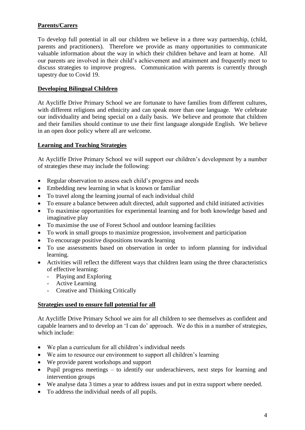# **Parents/Carers**

To develop full potential in all our children we believe in a three way partnership, (child, parents and practitioners). Therefore we provide as many opportunities to communicate valuable information about the way in which their children behave and learn at home. All our parents are involved in their child's achievement and attainment and frequently meet to discuss strategies to improve progress. Communication with parents is currently through tapestry due to Covid 19.

# **Developing Bilingual Children**

At Aycliffe Drive Primary School we are fortunate to have families from different cultures, with different religions and ethnicity and can speak more than one language. We celebrate our individuality and being special on a daily basis. We believe and promote that children and their families should continue to use their first language alongside English. We believe in an open door policy where all are welcome.

# **Learning and Teaching Strategies**

At Aycliffe Drive Primary School we will support our children's development by a number of strategies these may include the following:

- Regular observation to assess each child's progress and needs
- Embedding new learning in what is known or familiar
- To travel along the learning journal of each individual child
- To ensure a balance between adult directed, adult supported and child initiated activities
- To maximise opportunities for experimental learning and for both knowledge based and imaginative play
- To maximise the use of Forest School and outdoor learning facilities
- To work in small groups to maximize progression, involvement and participation
- To encourage positive dispositions towards learning
- To use assessments based on observation in order to inform planning for individual learning.
- Activities will reflect the different ways that children learn using the three characteristics of effective learning:
	- Playing and Exploring
	- Active Learning
	- Creative and Thinking Critically

# **Strategies used to ensure full potential for all**

At Aycliffe Drive Primary School we aim for all children to see themselves as confident and capable learners and to develop an 'I can do' approach. We do this in a number of strategies, which include:

- We plan a curriculum for all children's individual needs
- We aim to resource our environment to support all children's learning
- We provide parent workshops and support
- $\bullet$  Pupil progress meetings to identify our underachievers, next steps for learning and intervention groups
- We analyse data 3 times a year to address issues and put in extra support where needed.
- To address the individual needs of all pupils.